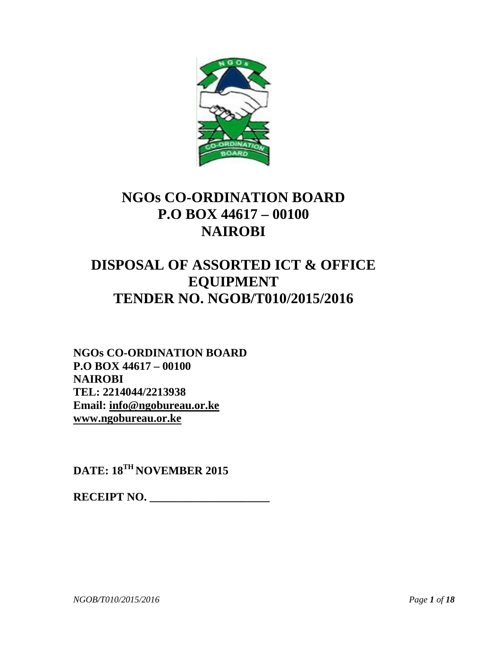

# **NGOs CO-ORDINATION BOARD NGOs CO-ORDINATION BOARDBOARDP.O BOX 44617 – 00100 NAIROBI**

# **DISPOSAL OF ASSORTED ICT & OFFICE EQUIPMENT TENDER NO. NGOB/T010/2015/2016**

**NGOs CO-ORDINATION BOARD P.O BOX 44617 – 00100 NAIROBI TEL: 2214044/2213938 Email: info@ngobureau.or.ke www.ngobureau.or.ke P.O BOX 44617 – 00100<br>
<b>NAIROBI<br>TEL: 2214044/2213938**<br> **Email: <u>info@ngobureau.or.ke</u><br>
www.ngobureau.or.ke<br>
DATE: 18<sup>TH</sup> NOVEMBER 2015** 

**RECEIPT NO.** 

*NGOB/T010/2015/2016 Page 1 of 18*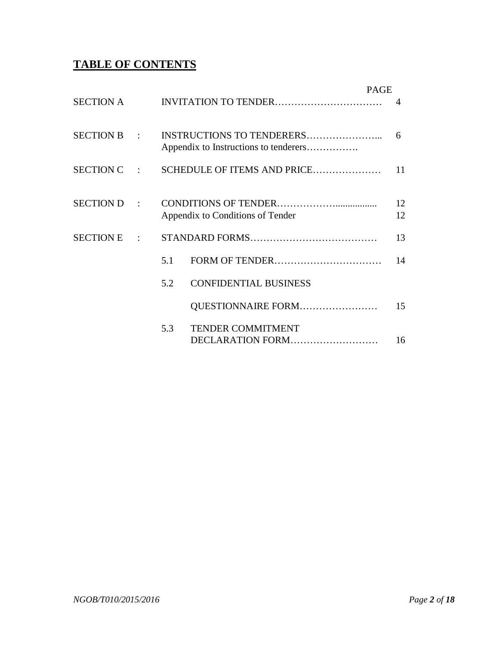## **TABLE OF CONTENTS**

|             |     |                                         | <b>PAGE</b> |  |
|-------------|-----|-----------------------------------------|-------------|--|
|             |     |                                         |             |  |
| SECTION B : |     | Appendix to Instructions to tenderers   | 6           |  |
|             |     | SECTION C : SCHEDULE OF ITEMS AND PRICE | 11          |  |
| SECTION D:  |     |                                         | 12          |  |
|             |     | Appendix to Conditions of Tender        | 12          |  |
|             |     |                                         | 13          |  |
|             | 5.1 |                                         | 14          |  |
|             | 5.2 | <b>CONFIDENTIAL BUSINESS</b>            |             |  |
|             |     | QUESTIONNAIRE FORM                      | 15          |  |
|             | 5.3 | <b>TENDER COMMITMENT</b>                |             |  |
|             |     | DECLARATION FORM                        | 16          |  |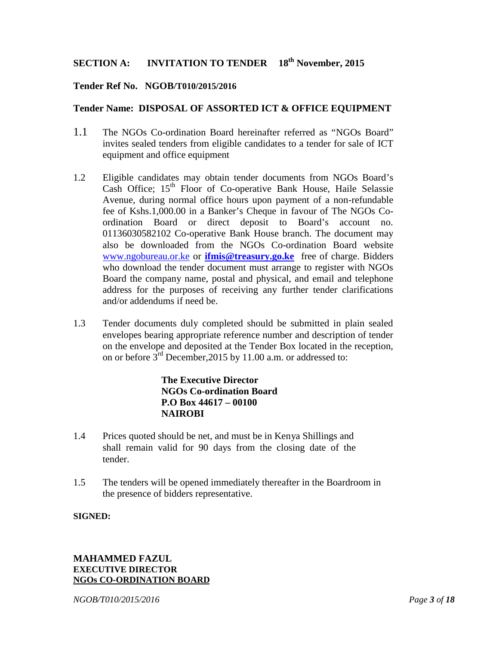#### **SECTION A: INVITATION TO TENDER th November, 2015**

#### **Tender Ref No. NGOB/T010/2015/2016**

#### **Tender Name: DISPOSAL OF ASSORTED ICT & OFFICE EQUIPMENT**

- 1.1 The NGOs Co-ordination Board hereinafter referred as "NGOs Board" invites sealed tenders from eligible candidates to a tender for sale of ICT equipment and office equipment
- 1.2 Eligible candidates may obtain tender documents from NGOs Board's Cash Office; 15<sup>th</sup> Floor of Co-operative Bank House, Haile Selassie Avenue, during normal office hours upon payment of a non-refundable fee of Kshs.1,000.00 in a Banker's Cheque in favour of The NGOs Co ordination Board or direct deposit to Board's account no. 01136030582102 Co-operative Bank House branch. The document may also be downloaded from the NGOs Co-ordination Board website www.ngobureau.or.ke or **ifmis@treasury.go.ke** free of charge. Bidders who download the tender document must arrange to register with NGOs Board the company name, postal and physical, and email and telephone address for the purposes of receiving any further tender clarifications and/or addendums if need be.
- 1.3 Tender documents duly completed should be submitted in plain sealed envelopes bearing appropriate reference number and description of tender on the envelope and deposited at the Tender Box located in the reception, on or before  $3^{rd}$  December, 2015 by 11.00 a.m. or addressed to:

#### **The Executive Director NGOs Co-ordination Board P.O Box 44617 – 00100 NAIROBI**

- 1.4 Prices quoted should be net, and must be in Kenya Shillings and shall remain valid for 90 days from the closing date of the tender.
- 1.5 The tenders will be opened immediately thereafter in the Boardroom in the presence of bidders representative.

#### **SIGNED:**

#### **MAHAMMED FAZUL EXECUTIVE DIRECTOR NGOs CO-ORDINATION BOARD**

*NGOB/T010/2015/2016 Page 3 of 18*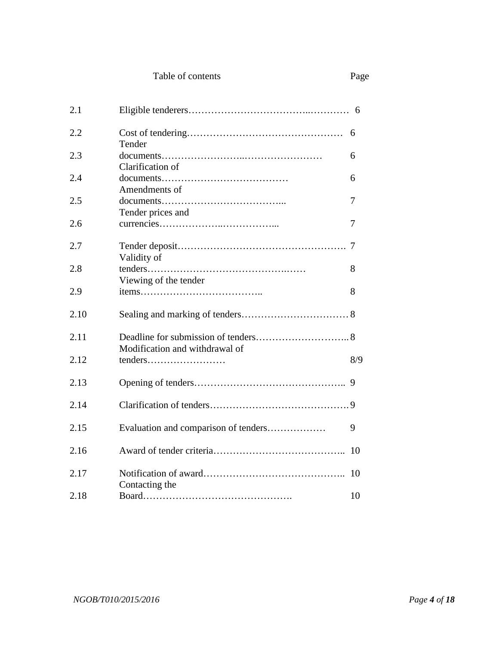| Table of contents | Page |
|-------------------|------|
|-------------------|------|

| 2.1  |                                      |     |
|------|--------------------------------------|-----|
| 2.2  | Tender                               |     |
| 2.3  | Clarification of                     | 6   |
| 2.4  | Amendments of                        | 6   |
| 2.5  | Tender prices and                    | 7   |
| 2.6  |                                      | 7   |
| 2.7  | Validity of                          |     |
| 2.8  | Viewing of the tender                | 8   |
| 2.9  |                                      | 8   |
| 2.10 |                                      |     |
| 2.11 | Modification and withdrawal of       |     |
| 2.12 | tenders                              | 8/9 |
| 2.13 |                                      | 9   |
| 2.14 |                                      |     |
| 2.15 | Evaluation and comparison of tenders | 9   |
| 2.16 |                                      |     |
| 2.17 | Contacting the                       |     |
| 2.18 |                                      | 10  |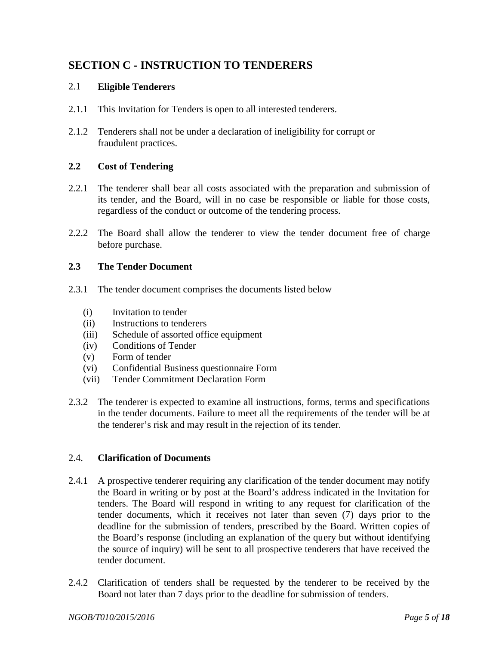## **SECTION C - INSTRUCTION TO TENDERERS**

#### 2.1 **Eligible Tenderers**

- 2.1.1 This Invitation for Tenders is open to all interested tenderers.
- 2.1.2 Tenderers shall not be under a declaration of ineligibility for corrupt or fraudulent practices.

#### **2.2 Cost of Tendering**

- 2.2.1 The tenderer shall bear all costs associated with the preparation and submission of its tender, and the Board, will in no case be responsible or liable for those costs, regardless of the conduct or outcome of the tendering process.
- 2.2.2 The Board shall allow the tenderer to view the tender document free of charge before purchase.

#### **2.3 The Tender Document**

- 2.3.1 The tender document comprises the documents listed below
	- (i) Invitation to tender
	- (ii) Instructions to tenderers
	- (iii) Schedule of assorted office equipment
	- (iv) Conditions of Tender
	- (v) Form of tender
	- (vi) Confidential Business questionnaire Form
	- (vii) Tender Commitment Declaration Form
- 2.3.2 The tenderer is expected to examine all instructions, forms, terms and specifications in the tender documents. Failure to meet all the requirements of the tender will be at the tenderer's risk and may result in the rejection of its tender.

#### 2.4. **Clarification of Documents**

- 2.4.1 A prospective tenderer requiring any clarification of the tender document may notify the Board in writing or by post at the Board's address indicated in the Invitation for tenders. The Board will respond in writing to any request for clarification of the tender documents, which it receives not later than seven (7) days prior to the deadline for the submission of tenders, prescribed by the Board. Written copies of the Board's response (including an explanation of the query but without identifying the source of inquiry) will be sent to all prospective tenderers that have received the tender document.
- 2.4.2 Clarification of tenders shall be requested by the tenderer to be received by the Board not later than 7 days prior to the deadline for submission of tenders.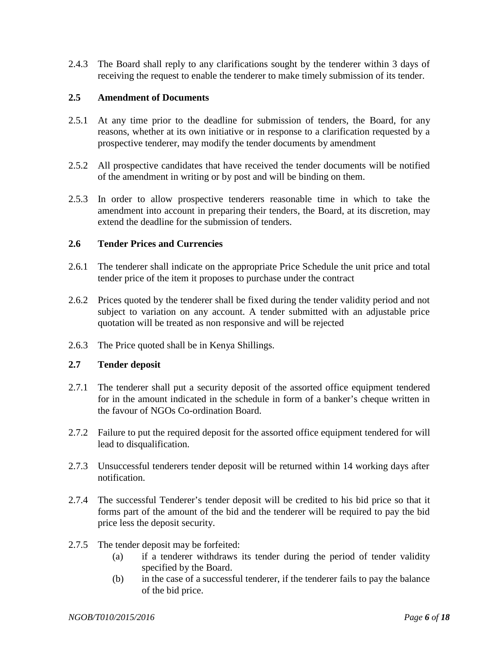2.4.3 The Board shall reply to any clarifications sought by the tenderer within 3 days of receiving the request to enable the tenderer to make timely submission of its tender.

#### **2.5 Amendment of Documents**

- 2.5.1 At any time prior to the deadline for submission of tenders, the Board, for any reasons, whether at its own initiative or in response to a clarification requested by a prospective tenderer, may modify the tender documents by amendment
- 2.5.2 All prospective candidates that have received the tender documents will be notified of the amendment in writing or by post and will be binding on them.
- 2.5.3 In order to allow prospective tenderers reasonable time in which to take the amendment into account in preparing their tenders, the Board, at its discretion, may extend the deadline for the submission of tenders.

#### **2.6 Tender Prices and Currencies**

- 2.6.1 The tenderer shall indicate on the appropriate Price Schedule the unit price and total tender price of the item it proposes to purchase under the contract
- 2.6.2 Prices quoted by the tenderer shall be fixed during the tender validity period and not subject to variation on any account. A tender submitted with an adjustable price quotation will be treated as non responsive and will be rejected
- 2.6.3 The Price quoted shall be in Kenya Shillings.

#### **2.7 Tender deposit**

- 2.7.1 The tenderer shall put a security deposit of the assorted office equipment tendered for in the amount indicated in the schedule in form of a banker's cheque written in the favour of NGOs Co-ordination Board.
- 2.7.2 Failure to put the required deposit for the assorted office equipment tendered for will lead to disqualification.
- 2.7.3 Unsuccessful tenderers tender deposit will be returned within 14 working days after notification.
- 2.7.4 The successful Tenderer's tender deposit will be credited to his bid price so that it forms part of the amount of the bid and the tenderer will be required to pay the bid price less the deposit security.
- 2.7.5 The tender deposit may be forfeited:
	- (a) if a tenderer withdraws its tender during the period of tender validity specified by the Board.
	- (b) in the case of a successful tenderer, if the tenderer fails to pay the balance of the bid price.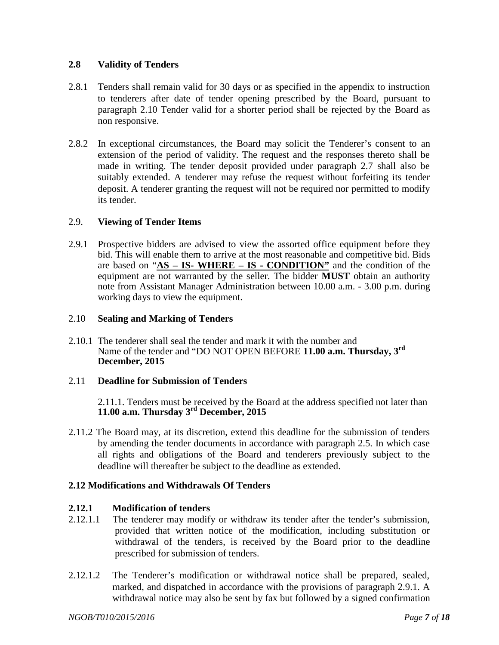#### **2.8 Validity of Tenders**

- 2.8.1 Tenders shall remain valid for 30 days or as specified in the appendix to instruction to tenderers after date of tender opening prescribed by the Board, pursuant to paragraph 2.10 Tender valid for a shorter period shall be rejected by the Board as non responsive.
- 2.8.2 In exceptional circumstances, the Board may solicit the Tenderer's consent to an extension of the period of validity. The request and the responses thereto shall be made in writing. The tender deposit provided under paragraph 2.7 shall also be suitably extended. A tenderer may refuse the request without forfeiting its tender deposit. A tenderer granting the request will not be required nor permitted to modify its tender.

#### 2.9. **Viewing of Tender Items**

2.9.1 Prospective bidders are advised to view the assorted office equipment before they bid. This will enable them to arrive at the most reasonable and competitive bid. Bids are based on "**AS – IS- WHERE – IS - CONDITION"** and the condition of the equipment are not warranted by the seller. The bidder **MUST** obtain an authority note from Assistant Manager Administration between 10.00 a.m. - 3.00 p.m. during working days to view the equipment.

#### 2.10 **Sealing and Marking of Tenders**

2.10.1 The tenderer shall seal the tender and mark it with the number and Name of the tender and "DO NOT OPEN BEFORE **11.00 a.m. Thursday, 3 rd December, 2015**

#### 2.11 **Deadline for Submission of Tenders**

2.11.1. Tenders must be received by the Board at the address specified not later than **11.00 a.m. Thursday 3rd December, 2015**

2.11.2 The Board may, at its discretion, extend this deadline for the submission of tenders by amending the tender documents in accordance with paragraph 2.5. In which case all rights and obligations of the Board and tenderers previously subject to the deadline will thereafter be subject to the deadline as extended.

#### **2.12 Modifications and Withdrawals Of Tenders**

#### **2.12.1 Modification of tenders**

- 2.12.1.1 The tenderer may modify or withdraw its tender after the tender's submission, provided that written notice of the modification, including substitution or withdrawal of the tenders, is received by the Board prior to the deadline prescribed for submission of tenders.
- 2.12.1.2 The Tenderer's modification or withdrawal notice shall be prepared, sealed, marked, and dispatched in accordance with the provisions of paragraph 2.9.1. A withdrawal notice may also be sent by fax but followed by a signed confirmation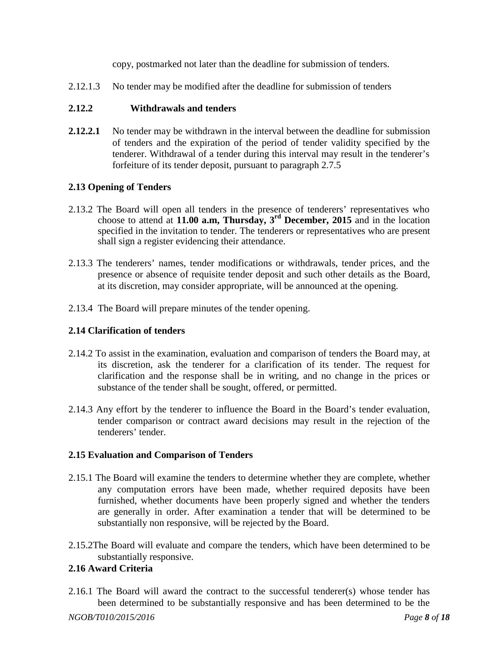copy, postmarked not later than the deadline for submission of tenders.

2.12.1.3 No tender may be modified after the deadline for submission of tenders

#### **2.12.2 Withdrawals and tenders**

**2.12.2.1** No tender may be withdrawn in the interval between the deadline for submission of tenders and the expiration of the period of tender validity specified by the tenderer. Withdrawal of a tender during this interval may result in the tenderer's forfeiture of its tender deposit, pursuant to paragraph 2.7.5

#### **2.13 Opening of Tenders**

- 2.13.2 The Board will open all tenders in the presence of tenderers' representatives who choose to attend at **11.00 a.m, Thursday, 3rd December, 2015** and in the location specified in the invitation to tender. The tenderers or representatives who are present shall sign a register evidencing their attendance.
- 2.13.3 The tenderers' names, tender modifications or withdrawals, tender prices, and the presence or absence of requisite tender deposit and such other details as the Board, at its discretion, may consider appropriate, will be announced at the opening.
- 2.13.4 The Board will prepare minutes of the tender opening.

#### **2.14 Clarification of tenders**

- 2.14.2 To assist in the examination, evaluation and comparison of tenders the Board may, at its discretion, ask the tenderer for a clarification of its tender. The request for clarification and the response shall be in writing, and no change in the prices or substance of the tender shall be sought, offered, or permitted.
- 2.14.3 Any effort by the tenderer to influence the Board in the Board's tender evaluation, tender comparison or contract award decisions may result in the rejection of the tenderers' tender.

#### **2.15 Evaluation and Comparison of Tenders**

- 2.15.1 The Board will examine the tenders to determine whether they are complete, whether any computation errors have been made, whether required deposits have been furnished, whether documents have been properly signed and whether the tenders are generally in order. After examination a tender that will be determined to be substantially non responsive, will be rejected by the Board.
- 2.15.2The Board will evaluate and compare the tenders, which have been determined to be substantially responsive.

#### **2.16 Award Criteria**

2.16.1 The Board will award the contract to the successful tenderer(s) whose tender has been determined to be substantially responsive and has been determined to be the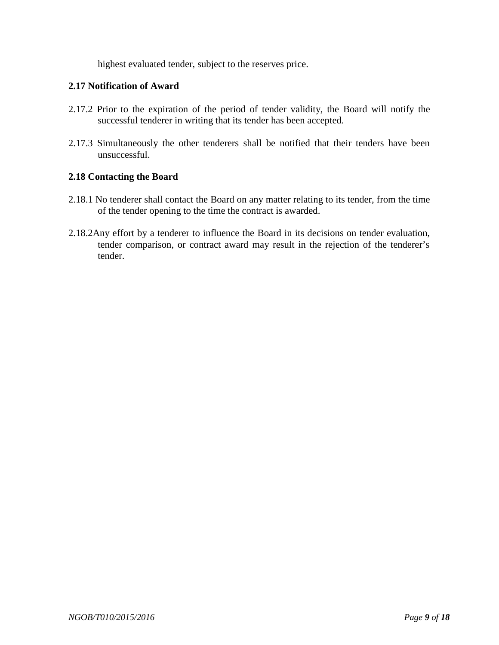highest evaluated tender, subject to the reserves price.

#### **2.17 Notification of Award**

- 2.17.2 Prior to the expiration of the period of tender validity, the Board will notify the successful tenderer in writing that its tender has been accepted.
- 2.17.3 Simultaneously the other tenderers shall be notified that their tenders have been unsuccessful.

#### **2.18 Contacting the Board**

- 2.18.1 No tenderer shall contact the Board on any matter relating to its tender, from the time of the tender opening to the time the contract is awarded.
- 2.18.2Any effort by a tenderer to influence the Board in its decisions on tender evaluation, tender comparison, or contract award may result in the rejection of the tenderer's tender.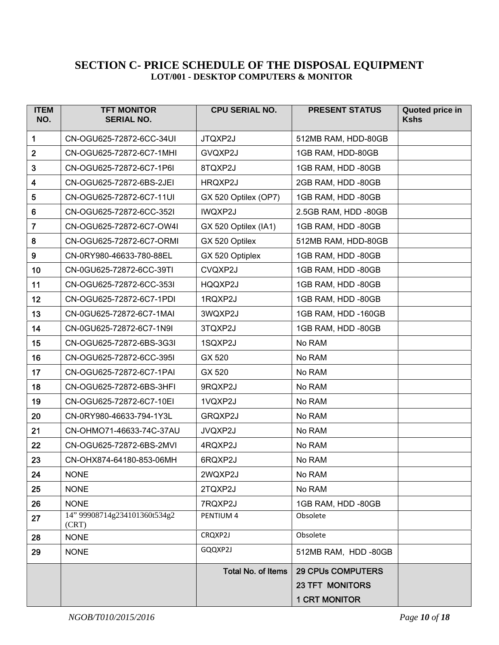#### **SECTION C- PRICE SCHEDULE OF THE DISPOSAL EQUIPMENT LOT/001 - DESKTOP COMPUTERS & MONITOR**

| <b>ITEM</b><br>NO. | <b>TFT MONITOR</b><br><b>SERIAL NO.</b> | <b>CPU SERIAL NO.</b> | <b>PRESENT STATUS</b>                                                      | Quoted price in<br><b>Kshs</b> |
|--------------------|-----------------------------------------|-----------------------|----------------------------------------------------------------------------|--------------------------------|
| 1                  | CN-OGU625-72872-6CC-34UI                | JTQXP2J               | 512MB RAM, HDD-80GB                                                        |                                |
| $\overline{2}$     | CN-OGU625-72872-6C7-1MHI                | GVQXP2J               | 1GB RAM, HDD-80GB                                                          |                                |
| $\mathbf{3}$       | CN-OGU625-72872-6C7-1P6I                | 8TQXP2J               | 1GB RAM, HDD -80GB                                                         |                                |
| $\boldsymbol{4}$   | CN-OGU625-72872-6BS-2JEI                | HRQXP2J               | 2GB RAM, HDD -80GB                                                         |                                |
| 5                  | CN-OGU625-72872-6C7-11UI                | GX 520 Optilex (OP7)  | 1GB RAM, HDD -80GB                                                         |                                |
| $\bf 6$            | CN-OGU625-72872-6CC-352I                | <b>IWQXP2J</b>        | 2.5GB RAM, HDD -80GB                                                       |                                |
| $\overline{7}$     | CN-OGU625-72872-6C7-OW4I                | GX 520 Optilex (IA1)  | 1GB RAM, HDD -80GB                                                         |                                |
| 8                  | CN-OGU625-72872-6C7-ORMI                | GX 520 Optilex        | 512MB RAM, HDD-80GB                                                        |                                |
| $\boldsymbol{9}$   | CN-0RY980-46633-780-88EL                | GX 520 Optiplex       | 1GB RAM, HDD -80GB                                                         |                                |
| 10                 | CN-0GU625-72872-6CC-39TI                | CVQXP2J               | 1GB RAM, HDD -80GB                                                         |                                |
| 11                 | CN-OGU625-72872-6CC-353I                | HQQXP2J               | 1GB RAM, HDD -80GB                                                         |                                |
| 12                 | CN-OGU625-72872-6C7-1PDI                | 1RQXP2J               | 1GB RAM, HDD -80GB                                                         |                                |
| 13                 | CN-0GU625-72872-6C7-1MAI                | 3WQXP2J               | 1GB RAM, HDD -160GB                                                        |                                |
| 14                 | CN-0GU625-72872-6C7-1N9I                | 3TQXP2J               | 1GB RAM, HDD -80GB                                                         |                                |
| 15                 | CN-OGU625-72872-6BS-3G3I                | 1SQXP2J               | No RAM                                                                     |                                |
| 16                 | CN-OGU625-72872-6CC-395I                | GX 520                | No RAM                                                                     |                                |
| 17                 | CN-OGU625-72872-6C7-1PAI                | GX 520                | No RAM                                                                     |                                |
| 18                 | CN-OGU625-72872-6BS-3HFI                | 9RQXP2J               | No RAM                                                                     |                                |
| 19                 | CN-OGU625-72872-6C7-10EI                | 1VQXP2J               | No RAM                                                                     |                                |
| 20                 | CN-0RY980-46633-794-1Y3L                | GRQXP2J               | No RAM                                                                     |                                |
| 21                 | CN-OHMO71-46633-74C-37AU                | JVQXP2J               | No RAM                                                                     |                                |
| 22                 | CN-OGU625-72872-6BS-2MVI                | 4RQXP2J               | No RAM                                                                     |                                |
| 23                 | CN-OHX874-64180-853-06MH                | 6RQXP2J               | No RAM                                                                     |                                |
| 24                 | <b>NONE</b>                             | 2WQXP2J               | No RAM                                                                     |                                |
| 25                 | <b>NONE</b>                             | 2TQXP2J               | No RAM                                                                     |                                |
| 26                 | <b>NONE</b>                             | 7RQXP2J               | 1GB RAM, HDD -80GB                                                         |                                |
| 27                 | 14" 99908714g234101360t534g2<br>(CRT)   | PENTIUM 4             | Obsolete                                                                   |                                |
| 28                 | <b>NONE</b>                             | CRQXP2J               | Obsolete                                                                   |                                |
| 29                 | <b>NONE</b>                             | GQQXP2J               | 512MB RAM, HDD -80GB                                                       |                                |
|                    |                                         | Total No. of Items    | <b>29 CPUs COMPUTERS</b><br><b>23 TFT MONITORS</b><br><b>1 CRT MONITOR</b> |                                |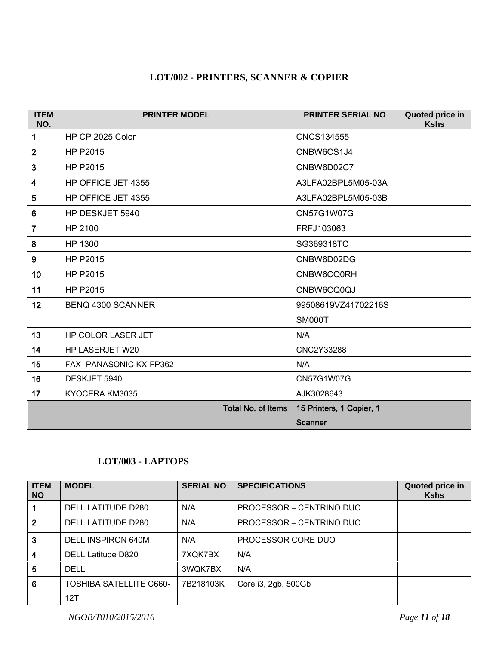## **LOT/002 - PRINTERS, SCANNER & COPIER**

| <b>ITEM</b><br>NO.      | <b>PRINTER MODEL</b>      | <b>PRINTER SERIAL NO</b> | Quoted price in<br><b>Kshs</b> |
|-------------------------|---------------------------|--------------------------|--------------------------------|
| 1                       | HP CP 2025 Color          | <b>CNCS134555</b>        |                                |
| $\overline{2}$          | HP P2015                  | CNBW6CS1J4               |                                |
| 3                       | <b>HP P2015</b>           | CNBW6D02C7               |                                |
| $\overline{\mathbf{4}}$ | HP OFFICE JET 4355        | A3LFA02BPL5M05-03A       |                                |
| 5                       | HP OFFICE JET 4355        | A3LFA02BPL5M05-03B       |                                |
| $6\phantom{1}$          | HP DESKJET 5940           | <b>CN57G1W07G</b>        |                                |
| $\overline{7}$          | HP 2100                   | FRFJ103063               |                                |
| 8                       | HP 1300                   | SG369318TC               |                                |
| 9                       | HP P2015                  | CNBW6D02DG               |                                |
| 10 <sub>1</sub>         | <b>HP P2015</b>           | CNBW6CQ0RH               |                                |
| 11                      | HP P2015                  | CNBW6CQ0QJ               |                                |
| 12                      | <b>BENQ 4300 SCANNER</b>  | 99508619VZ41702216S      |                                |
|                         |                           | <b>SM000T</b>            |                                |
| 13                      | HP COLOR LASER JET        | N/A                      |                                |
| 14                      | HP LASERJET W20           | CNC2Y33288               |                                |
| 15                      | FAX-PANASONIC KX-FP362    | N/A                      |                                |
| 16                      | DESKJET 5940              | CN57G1W07G               |                                |
| 17                      | KYOCERA KM3035            | AJK3028643               |                                |
|                         | <b>Total No. of Items</b> | 15 Printers, 1 Copier, 1 |                                |
|                         |                           | <b>Scanner</b>           |                                |

#### **LOT/003 - LAPTOPS**

| <b>ITEM</b><br><b>NO</b> | <b>MODEL</b>                   | <b>SERIAL NO</b> | <b>SPECIFICATIONS</b>    | Quoted price in<br><b>Kshs</b> |
|--------------------------|--------------------------------|------------------|--------------------------|--------------------------------|
|                          | DELL LATITUDE D280             | N/A              | PROCESSOR – CENTRINO DUO |                                |
| $\overline{2}$           | DELL LATITUDE D280             | N/A              | PROCESSOR – CENTRINO DUO |                                |
| 3                        | DELL INSPIRON 640M             | N/A              | PROCESSOR CORE DUO       |                                |
| 4                        | DELL Latitude D820             | 7XQK7BX          | N/A                      |                                |
| 5                        | <b>DELL</b>                    | 3WQK7BX          | N/A                      |                                |
| 6                        | <b>TOSHIBA SATELLITE C660-</b> | 7B218103K        | Core i3, 2gb, 500Gb      |                                |
|                          | 12T                            |                  |                          |                                |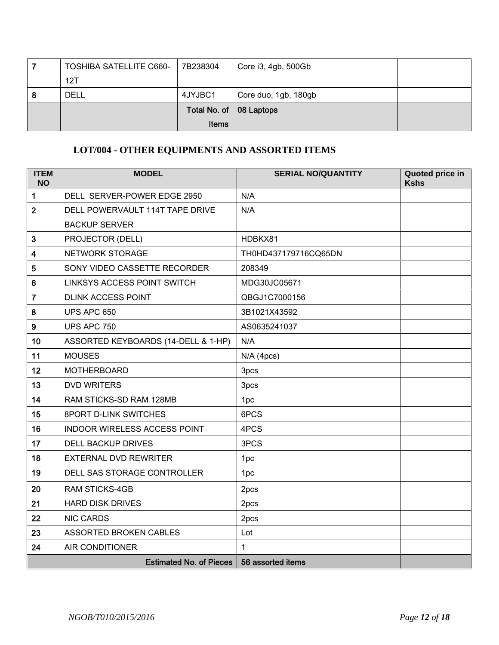|   | <b>TOSHIBA SATELLITE C660-</b> | 7B238304                  | Core i3, 4gb, 500Gb  |  |
|---|--------------------------------|---------------------------|----------------------|--|
|   | 12T                            |                           |                      |  |
| 8 | DELL                           | 4JYJBC1                   | Core duo, 1gb, 180gb |  |
|   |                                | Total No. of   08 Laptops |                      |  |
|   |                                | <b>Items</b>              |                      |  |

## **LOT/004 - OTHER EQUIPMENTS AND ASSORTED ITEMS**

| <b>ITEM</b><br><b>NO</b> | <b>MODEL</b>                        | <b>SERIAL NO/QUANTITY</b> | Quoted price in<br><b>Kshs</b> |
|--------------------------|-------------------------------------|---------------------------|--------------------------------|
| 1                        | DELL SERVER-POWER EDGE 2950         | N/A                       |                                |
| $\overline{2}$           | DELL POWERVAULT 114T TAPE DRIVE     | N/A                       |                                |
|                          | <b>BACKUP SERVER</b>                |                           |                                |
| $\mathbf{3}$             | PROJECTOR (DELL)                    | HDBKX81                   |                                |
| $\overline{\mathbf{4}}$  | NETWORK STORAGE                     | TH0HD437179716CQ65DN      |                                |
| 5                        | SONY VIDEO CASSETTE RECORDER        | 208349                    |                                |
| 6                        | <b>LINKSYS ACCESS POINT SWITCH</b>  | MDG30JC05671              |                                |
| $\overline{7}$           | <b>DLINK ACCESS POINT</b>           | QBGJ1C7000156             |                                |
| 8                        | UPS APC 650                         | 3B1021X43592              |                                |
| $\boldsymbol{9}$         | <b>UPS APC 750</b>                  | AS0635241037              |                                |
| 10                       | ASSORTED KEYBOARDS (14-DELL & 1-HP) | N/A                       |                                |
| 11                       | <b>MOUSES</b>                       | $N/A$ (4pcs)              |                                |
| 12                       | <b>MOTHERBOARD</b>                  | 3pcs                      |                                |
| 13                       | <b>DVD WRITERS</b>                  | 3pcs                      |                                |
| 14                       | RAM STICKS-SD RAM 128MB             | 1pc                       |                                |
| 15                       | 8PORT D-LINK SWITCHES               | 6PCS                      |                                |
| 16                       | <b>INDOOR WIRELESS ACCESS POINT</b> | 4PCS                      |                                |
| 17                       | <b>DELL BACKUP DRIVES</b>           | 3PCS                      |                                |
| 18                       | <b>EXTERNAL DVD REWRITER</b>        | 1pc                       |                                |
| 19                       | DELL SAS STORAGE CONTROLLER         | 1pc                       |                                |
| 20                       | <b>RAM STICKS-4GB</b>               | 2pcs                      |                                |
| 21                       | <b>HARD DISK DRIVES</b>             | 2pcs                      |                                |
| 22                       | <b>NIC CARDS</b>                    | 2pcs                      |                                |
| 23                       | ASSORTED BROKEN CABLES              | Lot                       |                                |
| 24                       | <b>AIR CONDITIONER</b>              | $\mathbf{1}$              |                                |
|                          | <b>Estimated No. of Pieces</b>      | 56 assorted items         |                                |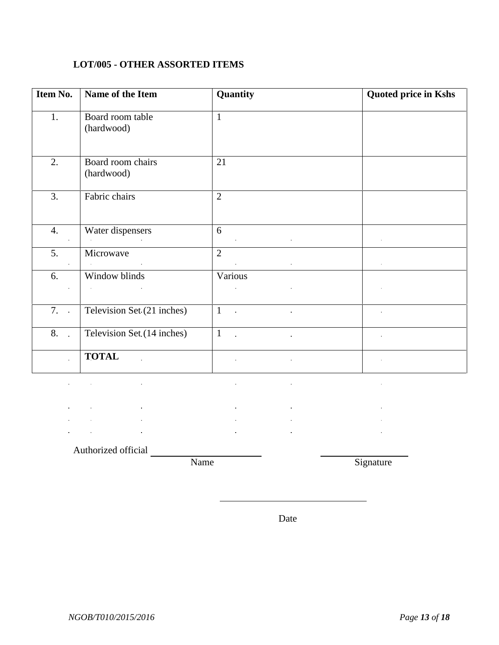## **LOT/005 - OTHER ASSORTED ITEMS**

| Item No.     | Name of the Item                                                                | Quantity                                   | <b>Quoted price in Kshs</b> |
|--------------|---------------------------------------------------------------------------------|--------------------------------------------|-----------------------------|
| 1.           | Board room table<br>(hardwood)                                                  | $\mathbf{1}$                               |                             |
| 2.           | Board room chairs<br>(hardwood)                                                 | 21                                         |                             |
| 3.           | Fabric chairs                                                                   | $\overline{2}$                             |                             |
| 4.           | Water dispensers<br>and the state of the state<br>$\mathbf{u} \in \mathbb{R}^n$ | 6<br>$\bullet$ .                           |                             |
| 5.           | Microwave<br>$\sim 10^{-11}$                                                    | $\overline{2}$<br>$\bullet$<br>$\bullet$ . | $\bullet$                   |
| 6.           | Window blinds                                                                   | Various<br>$\hat{\textbf{r}}$              |                             |
| 7.           | Television Set (21 inches)                                                      | $\mathbf{1}$<br>$\sim$ $\sim$<br>$\alpha$  |                             |
| 8. .         | Television Set (14 inches)                                                      | $\mathbf{1}$<br>$\sim 10$<br>$\mathbf{r}$  | $\bullet$                   |
| $\mathbf{r}$ | <b>TOTAL</b><br>$\mathbf{r}$                                                    | $\bullet$<br>$\hat{\mathbf{r}}$            | $\blacksquare$              |

 $\mathcal{L}$  $\mathbf{r}$  $\mathbf{r}$  $\frac{1}{2}$  $\mathbf{r}$  $\mathbf{r}$ l.  $\mathbf{r}$  $\mathbf{r}$  $\mathbf{r}$  $\mathbf{r}$ J. i.

Authorized official

Name Signature

Date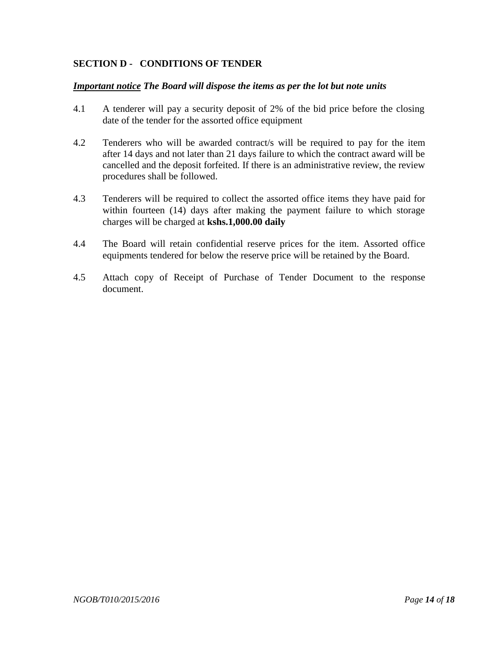#### **SECTION D - CONDITIONS OF TENDER**

#### *Important notice The Board will dispose the items as per the lot but note units*

- 4.1 A tenderer will pay a security deposit of 2% of the bid price before the closing date of the tender for the assorted office equipment
- 4.2 Tenderers who will be awarded contract/s will be required to pay for the item after 14 days and not later than 21 days failure to which the contract award will be cancelled and the deposit forfeited. If there is an administrative review, the review procedures shall be followed.
- 4.3 Tenderers will be required to collect the assorted office items they have paid for within fourteen (14) days after making the payment failure to which storage charges will be charged at **kshs.1,000.00 daily**
- 4.4 The Board will retain confidential reserve prices for the item. Assorted office equipments tendered for below the reserve price will be retained by the Board.
- 4.5 Attach copy of Receipt of Purchase of Tender Document to the response document.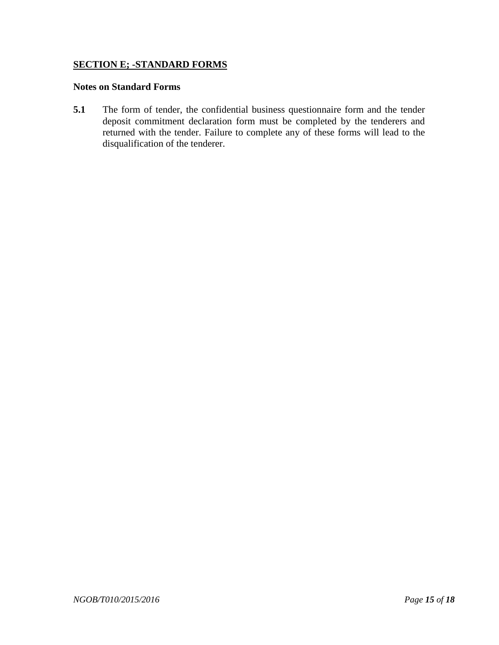#### **SECTION E; -STANDARD FORMS**

#### **Notes on Standard Forms**

**5.1** The form of tender, the confidential business questionnaire form and the tender deposit commitment declaration form must be completed by the tenderers and returned with the tender. Failure to complete any of these forms will lead to the disqualification of the tenderer.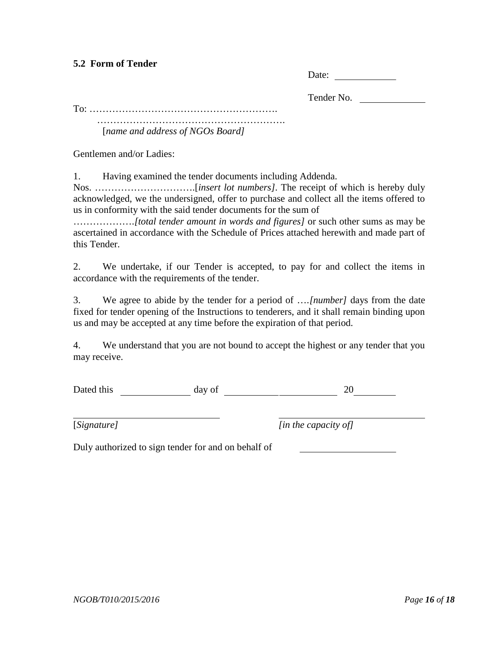#### **5.2 Form of Tender**

| Date: |  |
|-------|--|
|       |  |

Tender No.

To: ………………………………………………….

…………………………………………………. [*name and address of NGOs Board]*

Gentlemen and/or Ladies:

1. Having examined the tender documents including Addenda.

Nos. ………………………….[*insert lot numbers].* The receipt of which is hereby duly acknowledged, we the undersigned, offer to purchase and collect all the items offered to us in conformity with the said tender documents for the sum of

……………….*[total tender amount in words and figures]* or such other sums as may be ascertained in accordance with the Schedule of Prices attached herewith and made part of this Tender.

2. We undertake, if our Tender is accepted, to pay for and collect the items in accordance with the requirements of the tender.

3. We agree to abide by the tender for a period of ….*[number]* days from the date fixed for tender opening of the Instructions to tenderers, and it shall remain binding upon us and may be accepted at any time before the expiration of that period.

4. We understand that you are not bound to accept the highest or any tender that you may receive.

Dated this day of 20

[*Signature] [in the capacity of]*

Duly authorized to sign tender for and on behalf of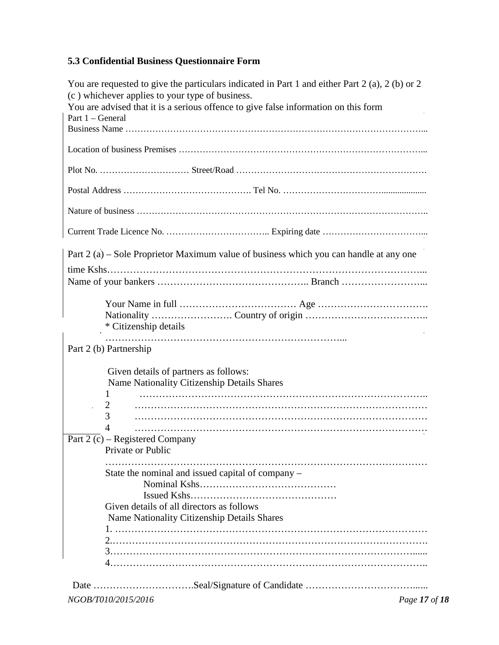## **5.3 Confidential Business Questionnaire Form**

| You are requested to give the particulars indicated in Part 1 and either Part 2 (a), 2 (b) or 2                                        |
|----------------------------------------------------------------------------------------------------------------------------------------|
| (c) whichever applies to your type of business.<br>You are advised that it is a serious offence to give false information on this form |
| Part 1 – General                                                                                                                       |
|                                                                                                                                        |
|                                                                                                                                        |
|                                                                                                                                        |
|                                                                                                                                        |
|                                                                                                                                        |
|                                                                                                                                        |
| Part 2 (a) – Sole Proprietor Maximum value of business which you can handle at any one                                                 |
|                                                                                                                                        |
|                                                                                                                                        |
|                                                                                                                                        |
| * Citizenship details                                                                                                                  |
| Part 2 (b) Partnership                                                                                                                 |
| Given details of partners as follows:                                                                                                  |
| Name Nationality Citizenship Details Shares                                                                                            |
| 1                                                                                                                                      |
| 2<br>3                                                                                                                                 |
| 4                                                                                                                                      |
| Part 2 (c) – Registered Company<br>Private or Public                                                                                   |
|                                                                                                                                        |
| State the nominal and issued capital of company -                                                                                      |
|                                                                                                                                        |
| Given details of all directors as follows                                                                                              |
| Name Nationality Citizenship Details Shares                                                                                            |
|                                                                                                                                        |
|                                                                                                                                        |
|                                                                                                                                        |
|                                                                                                                                        |
|                                                                                                                                        |
| NGOB/T010/2015/2016<br>Page 17 of 18                                                                                                   |